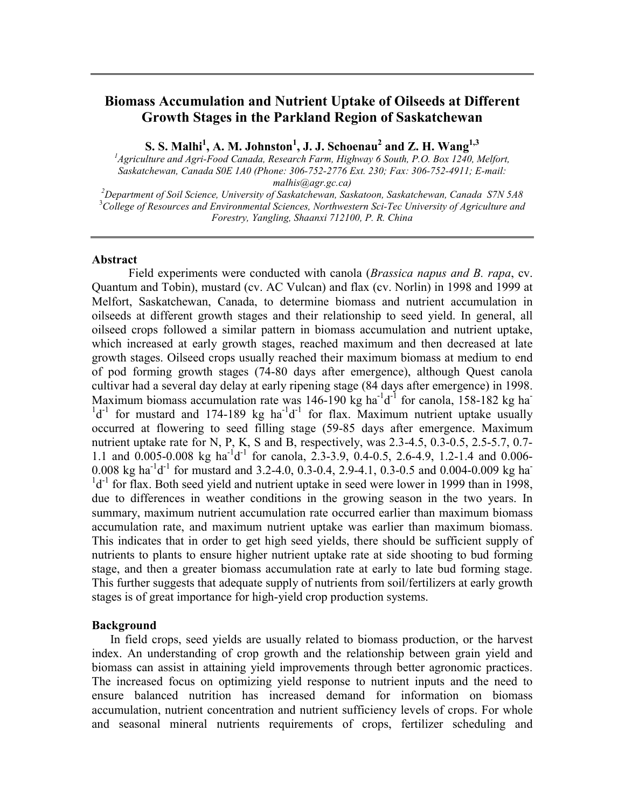# **Biomass Accumulation and Nutrient Uptake of Oilseeds at Different Growth Stages in the Parkland Region of Saskatchewan**

 $\mathbf{S}. \ \mathbf{S}. \ \mathbf{Mallh}^1, \ \mathbf{A}. \ \mathbf{M}. \ \mathbf{Johnston}^1, \ \mathbf{J}. \ \mathbf{J}. \ \mathbf{Schoenau}^2 \ \mathbf{and} \ \mathbf{Z}. \ \mathbf{H}. \ \mathbf{Wang}^{1,3}$ 

<sup>1</sup> Agriculture and Agri-Food Canada, Research Farm, Highway 6 South, P.O. Box 1240, Melfort, *Saskatchewan, Canada S0E 1A0 (Phone: 306-752-2776 Ext. 230; Fax: 306-752-4911; E-mail:*  malhis@agr.gc.ca)<br><sup>2</sup>Department of Soil Science, University of Saskatchewan, Saskatoon, Saskatchewan, Canada S7N 5A8

3 *College of Resources and Environmental Sciences, Northwestern Sci-Tec University of Agriculture and Forestry, Yangling, Shaanxi 712100, P. R. China* 

#### **Abstract**

Field experiments were conducted with canola (*Brassica napus and B. rapa*, cv. Quantum and Tobin), mustard (cv. AC Vulcan) and flax (cv. Norlin) in 1998 and 1999 at Melfort, Saskatchewan, Canada, to determine biomass and nutrient accumulation in oilseeds at different growth stages and their relationship to seed yield. In general, all oilseed crops followed a similar pattern in biomass accumulation and nutrient uptake, which increased at early growth stages, reached maximum and then decreased at late growth stages. Oilseed crops usually reached their maximum biomass at medium to end of pod forming growth stages (74-80 days after emergence), although Quest canola cultivar had a several day delay at early ripening stage (84 days after emergence) in 1998. Maximum biomass accumulation rate was  $146-190$  kg ha<sup>-1</sup> for canola,  $158-182$  kg ha $d^{-1}$  for mustard and 174-189 kg ha<sup>-1</sup>d<sup>-1</sup> for flax. Maximum nutrient uptake usually occurred at flowering to seed filling stage (59-85 days after emergence. Maximum nutrient uptake rate for N, P, K, S and B, respectively, was 2.3-4.5, 0.3-0.5, 2.5-5.7, 0.7-1.1 and  $0.005$ -0.008 kg ha<sup>-1</sup>d<sup>-1</sup> for canola, 2.3-3.9, 0.4-0.5, 2.6-4.9, 1.2-1.4 and 0.006-0.008 kg ha<sup>-1</sup>d<sup>-1</sup> for mustard and 3.2-4.0, 0.3-0.4, 2.9-4.1, 0.3-0.5 and 0.004-0.009 kg ha  $1d^{-1}$  for flax. Both seed yield and nutrient uptake in seed were lower in 1999 than in 1998, due to differences in weather conditions in the growing season in the two years. In summary, maximum nutrient accumulation rate occurred earlier than maximum biomass accumulation rate, and maximum nutrient uptake was earlier than maximum biomass. This indicates that in order to get high seed yields, there should be sufficient supply of nutrients to plants to ensure higher nutrient uptake rate at side shooting to bud forming stage, and then a greater biomass accumulation rate at early to late bud forming stage. This further suggests that adequate supply of nutrients from soil/fertilizers at early growth stages is of great importance for high-yield crop production systems.

### **Background**

In field crops, seed yields are usually related to biomass production, or the harvest index. An understanding of crop growth and the relationship between grain yield and biomass can assist in attaining yield improvements through better agronomic practices. The increased focus on optimizing yield response to nutrient inputs and the need to ensure balanced nutrition has increased demand for information on biomass accumulation, nutrient concentration and nutrient sufficiency levels of crops. For whole and seasonal mineral nutrients requirements of crops, fertilizer scheduling and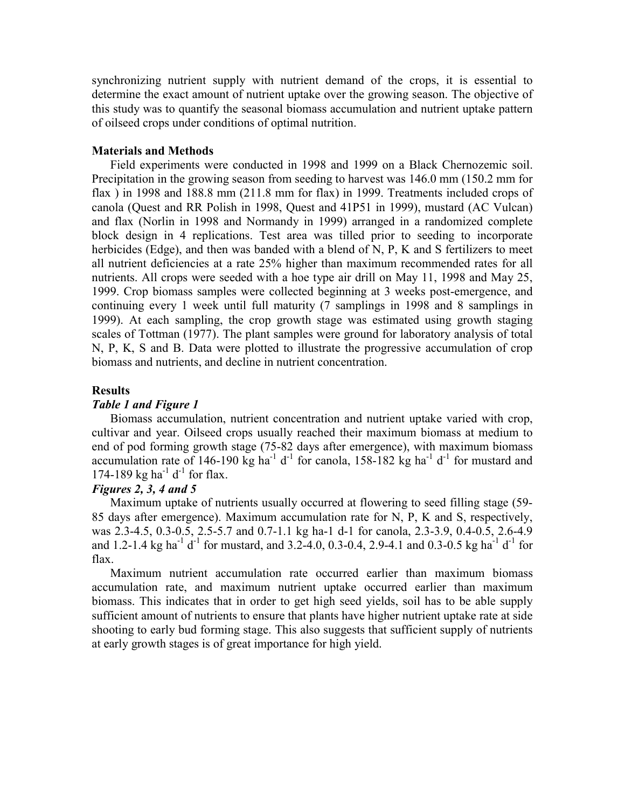synchronizing nutrient supply with nutrient demand of the crops, it is essential to determine the exact amount of nutrient uptake over the growing season. The objective of this study was to quantify the seasonal biomass accumulation and nutrient uptake pattern of oilseed crops under conditions of optimal nutrition.

#### **Materials and Methods**

Field experiments were conducted in 1998 and 1999 on a Black Chernozemic soil. Precipitation in the growing season from seeding to harvest was 146.0 mm (150.2 mm for flax ) in 1998 and 188.8 mm (211.8 mm for flax) in 1999. Treatments included crops of canola (Quest and RR Polish in 1998, Quest and 41P51 in 1999), mustard (AC Vulcan) and flax (Norlin in 1998 and Normandy in 1999) arranged in a randomized complete block design in 4 replications. Test area was tilled prior to seeding to incorporate herbicides (Edge), and then was banded with a blend of N, P, K and S fertilizers to meet all nutrient deficiencies at a rate 25% higher than maximum recommended rates for all nutrients. All crops were seeded with a hoe type air drill on May 11, 1998 and May 25, 1999. Crop biomass samples were collected beginning at 3 weeks post-emergence, and continuing every 1 week until full maturity (7 samplings in 1998 and 8 samplings in 1999). At each sampling, the crop growth stage was estimated using growth staging scales of Tottman (1977). The plant samples were ground for laboratory analysis of total N, P, K, S and B. Data were plotted to illustrate the progressive accumulation of crop biomass and nutrients, and decline in nutrient concentration.

#### **Results**

## *Table 1 and Figure 1*

Biomass accumulation, nutrient concentration and nutrient uptake varied with crop, cultivar and year. Oilseed crops usually reached their maximum biomass at medium to end of pod forming growth stage (75-82 days after emergence), with maximum biomass accumulation rate of 146-190 kg ha<sup>-1</sup> d<sup>-1</sup> for canola, 158-182 kg ha<sup>-1</sup> d<sup>-1</sup> for mustard and 174-189 kg ha<sup>-1</sup> d<sup>-1</sup> for flax.

# *Figures 2, 3, 4 and 5*

Maximum uptake of nutrients usually occurred at flowering to seed filling stage (59- 85 days after emergence). Maximum accumulation rate for N, P, K and S, respectively, was 2.3-4.5, 0.3-0.5, 2.5-5.7 and 0.7-1.1 kg ha-1 d-1 for canola, 2.3-3.9, 0.4-0.5, 2.6-4.9 and 1.2-1.4 kg ha<sup>-1</sup> d<sup>-1</sup> for mustard, and 3.2-4.0, 0.3-0.4, 2.9-4.1 and 0.3-0.5 kg ha<sup>-1</sup> d<sup>-1</sup> for flax.

Maximum nutrient accumulation rate occurred earlier than maximum biomass accumulation rate, and maximum nutrient uptake occurred earlier than maximum biomass. This indicates that in order to get high seed yields, soil has to be able supply sufficient amount of nutrients to ensure that plants have higher nutrient uptake rate at side shooting to early bud forming stage. This also suggests that sufficient supply of nutrients at early growth stages is of great importance for high yield.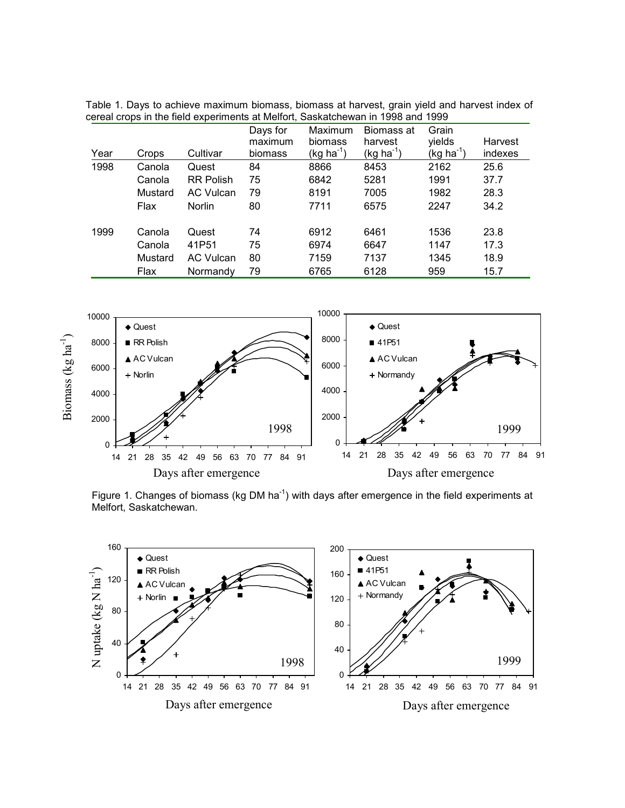Table 1. Days to achieve maximum biomass, biomass at harvest, grain yield and harvest index of cereal crops in the field experiments at Melfort, Saskatchewan in 1998 and 1999

|      |         |                  | Days for | Maximum     | Biomass at  | Grain          |         |
|------|---------|------------------|----------|-------------|-------------|----------------|---------|
|      |         |                  | maximum  | biomass     | harvest     | yields         | Harvest |
| Year | Crops   | Cultivar         | biomass  | $(kg ha-1)$ | $(kg ha-1)$ | $(kg ha^{-1})$ | indexes |
| 1998 | Canola  | Quest            | 84       | 8866        | 8453        | 2162           | 25.6    |
|      | Canola  | <b>RR Polish</b> | 75       | 6842        | 5281        | 1991           | 37.7    |
|      | Mustard | AC Vulcan        | 79       | 8191        | 7005        | 1982           | 28.3    |
|      | Flax    | Norlin           | 80       | 7711        | 6575        | 2247           | 34.2    |
| 1999 | Canola  | Quest            | 74       | 6912        | 6461        | 1536           | 23.8    |
|      | Canola  | 41P51            | 75       | 6974        | 6647        | 1147           | 17.3    |
|      | Mustard | <b>AC Vulcan</b> | 80       | 7159        | 7137        | 1345           | 18.9    |
|      | Flax    | Normandy         | 79       | 6765        | 6128        | 959            | 15.7    |



Figure 1. Changes of biomass (kg DM ha<sup>-1</sup>) with days after emergence in the field experiments at Melfort, Saskatchewan.